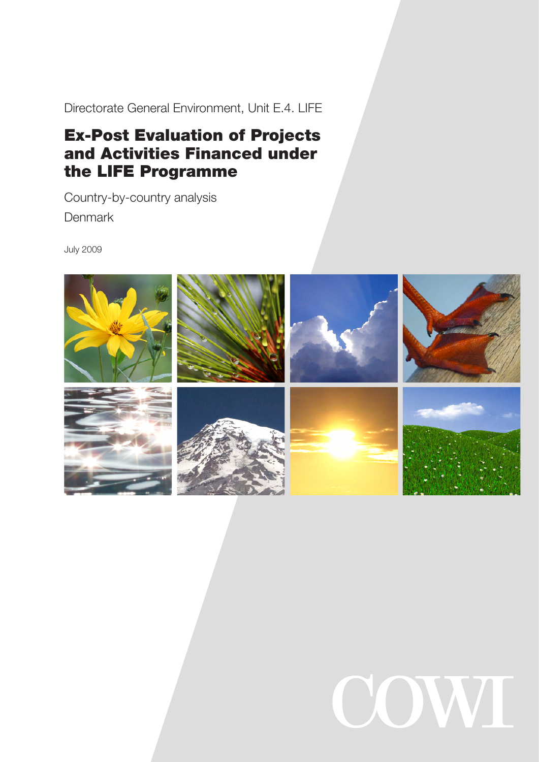Directorate General Environment, Unit E.4. LIFE

# Ex-Post Evaluation of Projects and Activities Financed under the LIFE Programme

Country-by-country analysis **Denmark** 

July 2009



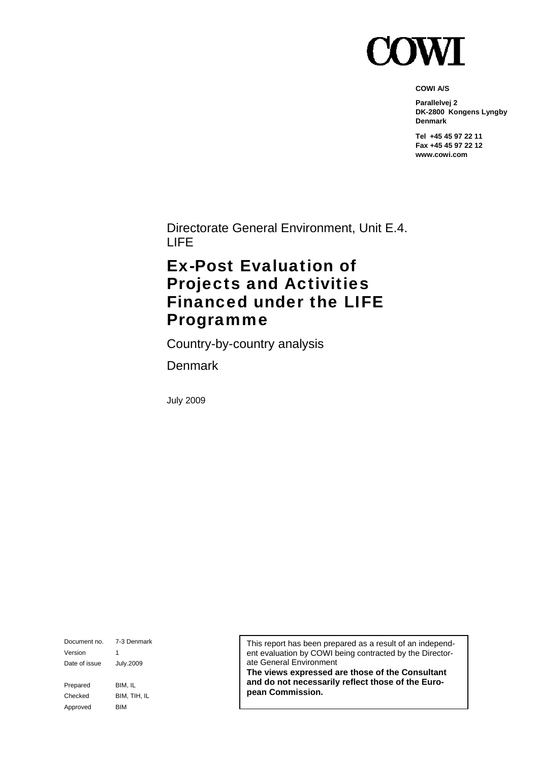

**COWI A/S** 

**Parallelvej 2 DK-2800 Kongens Lyngby Denmark** 

**Tel +45 45 97 22 11 Fax +45 45 97 22 12 www.cowi.com** 

Directorate General Environment, Unit E.4. LIFE

# Ex-Post Evaluation of Projects and Activities Financed under the LIFE Programme

Country-by-country analysis

Denmark

July 2009

Document no. 7-3 Denmark Version 1 Date of issue July.2009 Prepared BIM, IL Checked BIM, TIH, IL Approved BIM

This report has been prepared as a result of an independent evaluation by COWI being contracted by the Directorate General Environment

**The views expressed are those of the Consultant and do not necessarily reflect those of the European Commission.**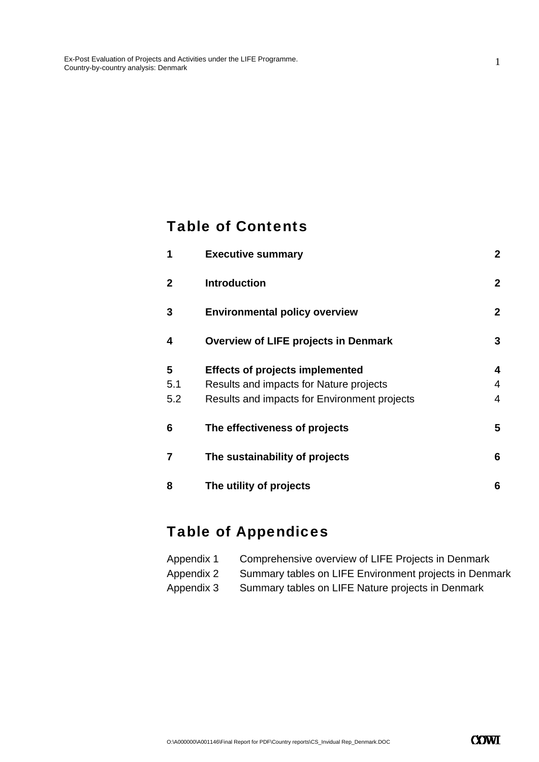## Table of Contents

| 1              | <b>Executive summary</b>                     | $\boldsymbol{2}$ |
|----------------|----------------------------------------------|------------------|
| $\overline{2}$ | <b>Introduction</b>                          | $\boldsymbol{2}$ |
| 3              | <b>Environmental policy overview</b>         | $\mathbf{2}$     |
| 4              | <b>Overview of LIFE projects in Denmark</b>  | 3                |
| 5              | <b>Effects of projects implemented</b>       | 4                |
| 5.1            | Results and impacts for Nature projects      | 4                |
| 5.2            | Results and impacts for Environment projects | $\overline{4}$   |
| 6              | The effectiveness of projects                | 5                |
| $\overline{7}$ | The sustainability of projects               | 6                |
| 8              | The utility of projects                      | 6                |

# Table of Appendices

| Appendix 1 | Comprehensive overview of LIFE Projects in Denmark     |
|------------|--------------------------------------------------------|
| Appendix 2 | Summary tables on LIFE Environment projects in Denmark |
| Appendix 3 | Summary tables on LIFE Nature projects in Denmark      |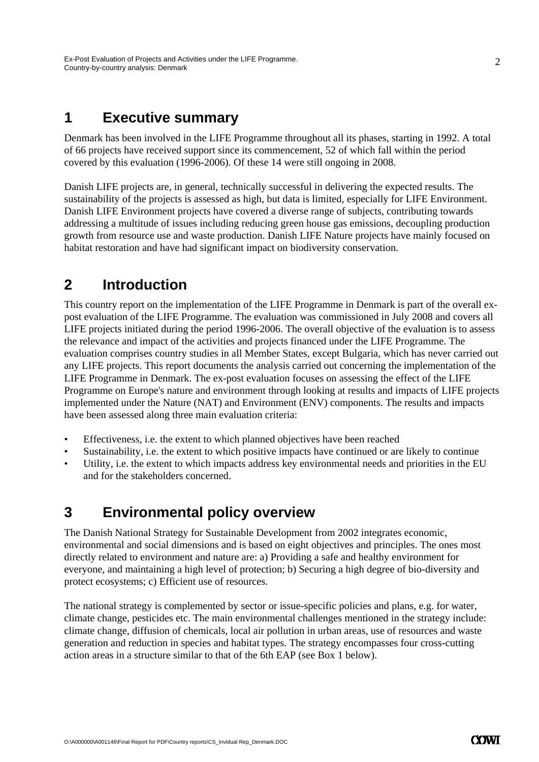## **1 Executive summary**

Denmark has been involved in the LIFE Programme throughout all its phases, starting in 1992. A total of 66 projects have received support since its commencement, 52 of which fall within the period covered by this evaluation (1996-2006). Of these 14 were still ongoing in 2008.

Danish LIFE projects are, in general, technically successful in delivering the expected results. The sustainability of the projects is assessed as high, but data is limited, especially for LIFE Environment. Danish LIFE Environment projects have covered a diverse range of subjects, contributing towards addressing a multitude of issues including reducing green house gas emissions, decoupling production growth from resource use and waste production. Danish LIFE Nature projects have mainly focused on habitat restoration and have had significant impact on biodiversity conservation.

# **2 Introduction**

This country report on the implementation of the LIFE Programme in Denmark is part of the overall expost evaluation of the LIFE Programme. The evaluation was commissioned in July 2008 and covers all LIFE projects initiated during the period 1996-2006. The overall objective of the evaluation is to assess the relevance and impact of the activities and projects financed under the LIFE Programme. The evaluation comprises country studies in all Member States, except Bulgaria, which has never carried out any LIFE projects. This report documents the analysis carried out concerning the implementation of the LIFE Programme in Denmark. The ex-post evaluation focuses on assessing the effect of the LIFE Programme on Europe's nature and environment through looking at results and impacts of LIFE projects implemented under the Nature (NAT) and Environment (ENV) components. The results and impacts have been assessed along three main evaluation criteria:

- Effectiveness, i.e. the extent to which planned objectives have been reached
- Sustainability, i.e. the extent to which positive impacts have continued or are likely to continue
- Utility, i.e. the extent to which impacts address key environmental needs and priorities in the EU and for the stakeholders concerned.

## **3 Environmental policy overview**

The Danish National Strategy for Sustainable Development from 2002 integrates economic, environmental and social dimensions and is based on eight objectives and principles. The ones most directly related to environment and nature are: a) Providing a safe and healthy environment for everyone, and maintaining a high level of protection; b) Securing a high degree of bio-diversity and protect ecosystems; c) Efficient use of resources.

The national strategy is complemented by sector or issue-specific policies and plans, e.g. for water, climate change, pesticides etc. The main environmental challenges mentioned in the strategy include: climate change, diffusion of chemicals, local air pollution in urban areas, use of resources and waste generation and reduction in species and habitat types. The strategy encompasses four cross-cutting action areas in a structure similar to that of the 6th EAP (see Box 1 below).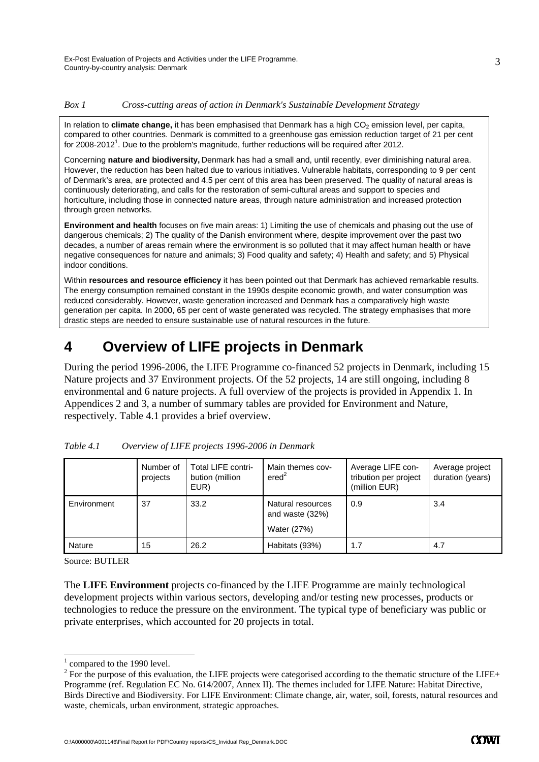### *Box 1 Cross-cutting areas of action in Denmark's Sustainable Development Strategy*

In relation to **climate change**, it has been emphasised that Denmark has a high CO<sub>2</sub> emission level, per capita, compared to other countries. Denmark is committed to a greenhouse gas emission reduction target of 21 per cent for 2008-2012<sup>1</sup>. Due to the problem's magnitude, further reductions will be required after 2012.

Concerning **nature and biodiversity,** Denmark has had a small and, until recently, ever diminishing natural area. However, the reduction has been halted due to various initiatives. Vulnerable habitats, corresponding to 9 per cent of Denmark's area, are protected and 4.5 per cent of this area has been preserved. The quality of natural areas is continuously deteriorating, and calls for the restoration of semi-cultural areas and support to species and horticulture, including those in connected nature areas, through nature administration and increased protection through green networks.

**Environment and health** focuses on five main areas: 1) Limiting the use of chemicals and phasing out the use of dangerous chemicals; 2) The quality of the Danish environment where, despite improvement over the past two decades, a number of areas remain where the environment is so polluted that it may affect human health or have negative consequences for nature and animals; 3) Food quality and safety; 4) Health and safety; and 5) Physical indoor conditions.

Within **resources and resource efficiency** it has been pointed out that Denmark has achieved remarkable results. The energy consumption remained constant in the 1990s despite economic growth, and water consumption was reduced considerably. However, waste generation increased and Denmark has a comparatively high waste generation per capita. In 2000, 65 per cent of waste generated was recycled. The strategy emphasises that more drastic steps are needed to ensure sustainable use of natural resources in the future.

## **4 Overview of LIFE projects in Denmark**

During the period 1996-2006, the LIFE Programme co-financed 52 projects in Denmark, including 15 Nature projects and 37 Environment projects. Of the 52 projects, 14 are still ongoing, including 8 environmental and 6 nature projects. A full overview of the projects is provided in Appendix 1. In Appendices 2 and 3, a number of summary tables are provided for Environment and Nature, respectively. Table 4.1 provides a brief overview.

|             | Number of<br>projects | <b>Total LIFE contri-</b><br>bution (million<br>EUR) | Main themes cov-<br>ered <sup>2</sup>               | Average LIFE con-<br>tribution per project<br>(million EUR) | Average project<br>duration (years) |
|-------------|-----------------------|------------------------------------------------------|-----------------------------------------------------|-------------------------------------------------------------|-------------------------------------|
| Environment | 37                    | 33.2                                                 | Natural resources<br>and waste (32%)<br>Water (27%) | 0.9                                                         | 3.4                                 |
| Nature      | 15                    | 26.2                                                 | Habitats (93%)                                      | 1.7                                                         | 4.7                                 |

| Table 4.1 | Overview of LIFE projects 1996-2006 in Denmark |  |
|-----------|------------------------------------------------|--|
|           |                                                |  |

Source: BUTLER

-

The **LIFE Environment** projects co-financed by the LIFE Programme are mainly technological development projects within various sectors, developing and/or testing new processes, products or technologies to reduce the pressure on the environment. The typical type of beneficiary was public or private enterprises, which accounted for 20 projects in total.

<sup>&</sup>lt;sup>1</sup> compared to the 1990 level.

 $2^2$  For the purpose of this evaluation, the LIFE projects were categorised according to the thematic structure of the LIFE+ Programme (ref. Regulation EC No. 614/2007, Annex II). The themes included for LIFE Nature: Habitat Directive, Birds Directive and Biodiversity. For LIFE Environment: Climate change, air, water, soil, forests, natural resources and waste, chemicals, urban environment, strategic approaches.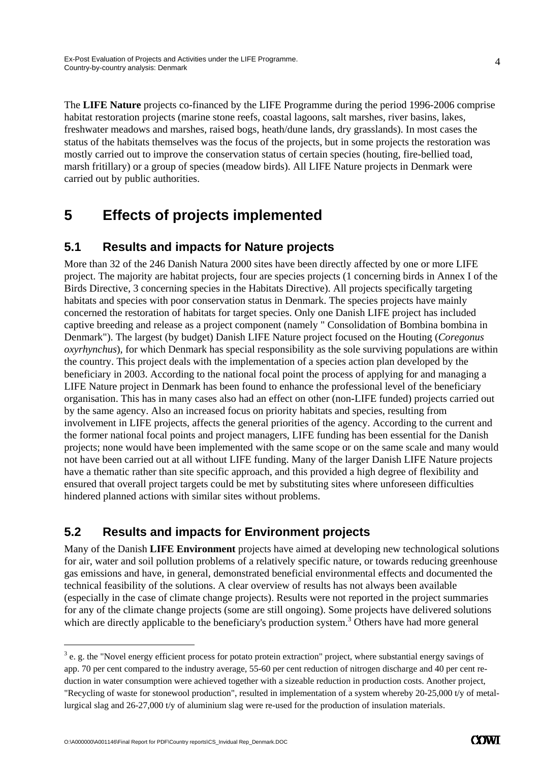The **LIFE Nature** projects co-financed by the LIFE Programme during the period 1996-2006 comprise habitat restoration projects (marine stone reefs, coastal lagoons, salt marshes, river basins, lakes, freshwater meadows and marshes, raised bogs, heath/dune lands, dry grasslands). In most cases the status of the habitats themselves was the focus of the projects, but in some projects the restoration was mostly carried out to improve the conservation status of certain species (houting, fire-bellied toad, marsh fritillary) or a group of species (meadow birds). All LIFE Nature projects in Denmark were carried out by public authorities.

# **5 Effects of projects implemented**

### **5.1 Results and impacts for Nature projects**

More than 32 of the 246 Danish Natura 2000 sites have been directly affected by one or more LIFE project. The majority are habitat projects, four are species projects (1 concerning birds in Annex I of the Birds Directive, 3 concerning species in the Habitats Directive). All projects specifically targeting habitats and species with poor conservation status in Denmark. The species projects have mainly concerned the restoration of habitats for target species. Only one Danish LIFE project has included captive breeding and release as a project component (namely " Consolidation of Bombina bombina in Denmark"). The largest (by budget) Danish LIFE Nature project focused on the Houting (*Coregonus oxyrhynchus*), for which Denmark has special responsibility as the sole surviving populations are within the country. This project deals with the implementation of a species action plan developed by the beneficiary in 2003. According to the national focal point the process of applying for and managing a LIFE Nature project in Denmark has been found to enhance the professional level of the beneficiary organisation. This has in many cases also had an effect on other (non-LIFE funded) projects carried out by the same agency. Also an increased focus on priority habitats and species, resulting from involvement in LIFE projects, affects the general priorities of the agency. According to the current and the former national focal points and project managers, LIFE funding has been essential for the Danish projects; none would have been implemented with the same scope or on the same scale and many would not have been carried out at all without LIFE funding. Many of the larger Danish LIFE Nature projects have a thematic rather than site specific approach, and this provided a high degree of flexibility and ensured that overall project targets could be met by substituting sites where unforeseen difficulties hindered planned actions with similar sites without problems.

### **5.2 Results and impacts for Environment projects**

Many of the Danish **LIFE Environment** projects have aimed at developing new technological solutions for air, water and soil pollution problems of a relatively specific nature, or towards reducing greenhouse gas emissions and have, in general, demonstrated beneficial environmental effects and documented the technical feasibility of the solutions. A clear overview of results has not always been available (especially in the case of climate change projects). Results were not reported in the project summaries for any of the climate change projects (some are still ongoing). Some projects have delivered solutions which are directly applicable to the beneficiary's production system.<sup>3</sup> Others have had more general

-

 $3$  e. g. the "Novel energy efficient process for potato protein extraction" project, where substantial energy savings of app. 70 per cent compared to the industry average, 55-60 per cent reduction of nitrogen discharge and 40 per cent reduction in water consumption were achieved together with a sizeable reduction in production costs. Another project, "Recycling of waste for stonewool production", resulted in implementation of a system whereby 20-25,000 t/y of metallurgical slag and 26-27,000 t/y of aluminium slag were re-used for the production of insulation materials.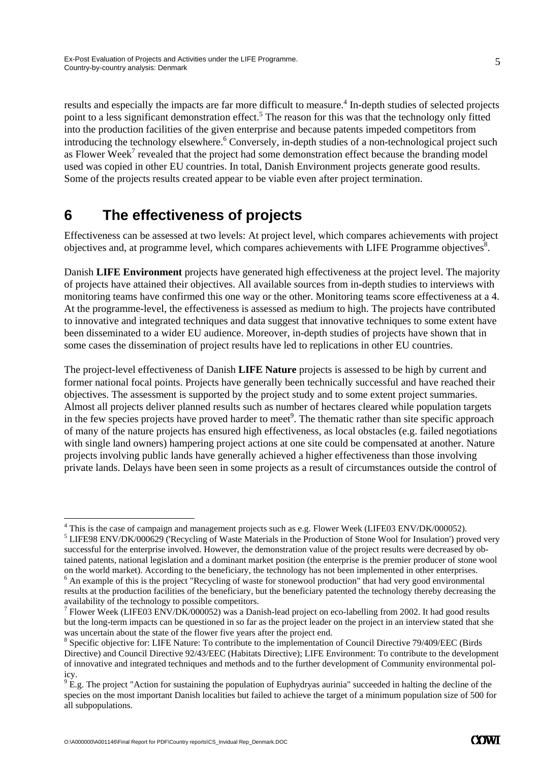results and especially the impacts are far more difficult to measure.<sup>4</sup> In-depth studies of selected projects point to a less significant demonstration effect.<sup>5</sup> The reason for this was that the technology only fitted into the production facilities of the given enterprise and because patents impeded competitors from introducing the technology elsewhere.<sup>6</sup> Conversely, in-depth studies of a non-technological project such as Flower Week<sup>7</sup> revealed that the project had some demonstration effect because the branding model used was copied in other EU countries. In total, Danish Environment projects generate good results. Some of the projects results created appear to be viable even after project termination.

# **6 The effectiveness of projects**

Effectiveness can be assessed at two levels: At project level, which compares achievements with project objectives and, at programme level, which compares achievements with LIFE Programme objectives<sup>8</sup>.

Danish **LIFE Environment** projects have generated high effectiveness at the project level. The majority of projects have attained their objectives. All available sources from in-depth studies to interviews with monitoring teams have confirmed this one way or the other. Monitoring teams score effectiveness at a 4. At the programme-level, the effectiveness is assessed as medium to high. The projects have contributed to innovative and integrated techniques and data suggest that innovative techniques to some extent have been disseminated to a wider EU audience. Moreover, in-depth studies of projects have shown that in some cases the dissemination of project results have led to replications in other EU countries.

The project-level effectiveness of Danish **LIFE Nature** projects is assessed to be high by current and former national focal points. Projects have generally been technically successful and have reached their objectives. The assessment is supported by the project study and to some extent project summaries. Almost all projects deliver planned results such as number of hectares cleared while population targets in the few species projects have proved harder to meet<sup>9</sup>. The thematic rather than site specific approach of many of the nature projects has ensured high effectiveness, as local obstacles (e.g. failed negotiations with single land owners) hampering project actions at one site could be compensated at another. Nature projects involving public lands have generally achieved a higher effectiveness than those involving private lands. Delays have been seen in some projects as a result of circumstances outside the control of

 LIFE98 ENV/DK/000629 ('Recycling of Waste Materials in the Production of Stone Wool for Insulation') proved very successful for the enterprise involved. However, the demonstration value of the project results were decreased by obtained patents, national legislation and a dominant market position (the enterprise is the premier producer of stone wool on the world market). According to the beneficiary, the technology has not been implemented in other enterprises. 6

-

<sup>&</sup>lt;sup>4</sup> This is the case of campaign and management projects such as e.g. Flower Week (LIFE03 ENV/DK/000052).<br><sup>5</sup> LIEROS ENV/DK/000620 ('Desyrgling of Wests Materials in the Production of Stone Woel for Insulation') pro

 $6$  An example of this is the project "Recycling of waste for stonewool production" that had very good environmental results at the production facilities of the beneficiary, but the beneficiary patented the technology thereby decreasing the availability of the technology to possible competitors.

<sup>&</sup>lt;sup>7</sup> Flower Week (LIFE03 ENV/DK/000052) was a Danish-lead project on eco-labelling from 2002. It had good results but the long-term impacts can be questioned in so far as the project leader on the project in an interview stated that she was uncertain about the state of the flower five years after the project end.

<sup>&</sup>lt;sup>8</sup> Specific objective for: LIFE Nature: To contribute to the implementation of Council Directive 79/409/EEC (Birds Directive) and Council Directive 92/43/EEC (Habitats Directive); LIFE Environment: To contribute to the development of innovative and integrated techniques and methods and to the further development of Community environmental policy.

 $9^{9}$  E.g. The project "Action for sustaining the population of Euphydryas aurinia" succeeded in halting the decline of the species on the most important Danish localities but failed to achieve the target of a minimum population size of 500 for all subpopulations.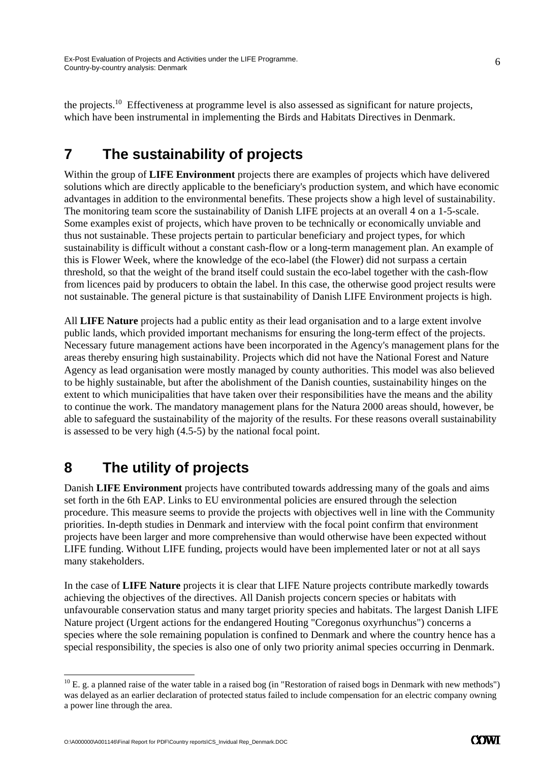the projects.10 Effectiveness at programme level is also assessed as significant for nature projects, which have been instrumental in implementing the Birds and Habitats Directives in Denmark.

# **7 The sustainability of projects**

Within the group of **LIFE Environment** projects there are examples of projects which have delivered solutions which are directly applicable to the beneficiary's production system, and which have economic advantages in addition to the environmental benefits. These projects show a high level of sustainability. The monitoring team score the sustainability of Danish LIFE projects at an overall 4 on a 1-5-scale. Some examples exist of projects, which have proven to be technically or economically unviable and thus not sustainable. These projects pertain to particular beneficiary and project types, for which sustainability is difficult without a constant cash-flow or a long-term management plan. An example of this is Flower Week, where the knowledge of the eco-label (the Flower) did not surpass a certain threshold, so that the weight of the brand itself could sustain the eco-label together with the cash-flow from licences paid by producers to obtain the label. In this case, the otherwise good project results were not sustainable. The general picture is that sustainability of Danish LIFE Environment projects is high.

All **LIFE Nature** projects had a public entity as their lead organisation and to a large extent involve public lands, which provided important mechanisms for ensuring the long-term effect of the projects. Necessary future management actions have been incorporated in the Agency's management plans for the areas thereby ensuring high sustainability. Projects which did not have the National Forest and Nature Agency as lead organisation were mostly managed by county authorities. This model was also believed to be highly sustainable, but after the abolishment of the Danish counties, sustainability hinges on the extent to which municipalities that have taken over their responsibilities have the means and the ability to continue the work. The mandatory management plans for the Natura 2000 areas should, however, be able to safeguard the sustainability of the majority of the results. For these reasons overall sustainability is assessed to be very high (4.5-5) by the national focal point.

# **8 The utility of projects**

Danish **LIFE Environment** projects have contributed towards addressing many of the goals and aims set forth in the 6th EAP. Links to EU environmental policies are ensured through the selection procedure. This measure seems to provide the projects with objectives well in line with the Community priorities. In-depth studies in Denmark and interview with the focal point confirm that environment projects have been larger and more comprehensive than would otherwise have been expected without LIFE funding. Without LIFE funding, projects would have been implemented later or not at all says many stakeholders.

In the case of **LIFE Nature** projects it is clear that LIFE Nature projects contribute markedly towards achieving the objectives of the directives. All Danish projects concern species or habitats with unfavourable conservation status and many target priority species and habitats. The largest Danish LIFE Nature project (Urgent actions for the endangered Houting "Coregonus oxyrhunchus") concerns a species where the sole remaining population is confined to Denmark and where the country hence has a special responsibility, the species is also one of only two priority animal species occurring in Denmark.

-

6

 $10$  E. g. a planned raise of the water table in a raised bog (in "Restoration of raised bogs in Denmark with new methods") was delayed as an earlier declaration of protected status failed to include compensation for an electric company owning a power line through the area.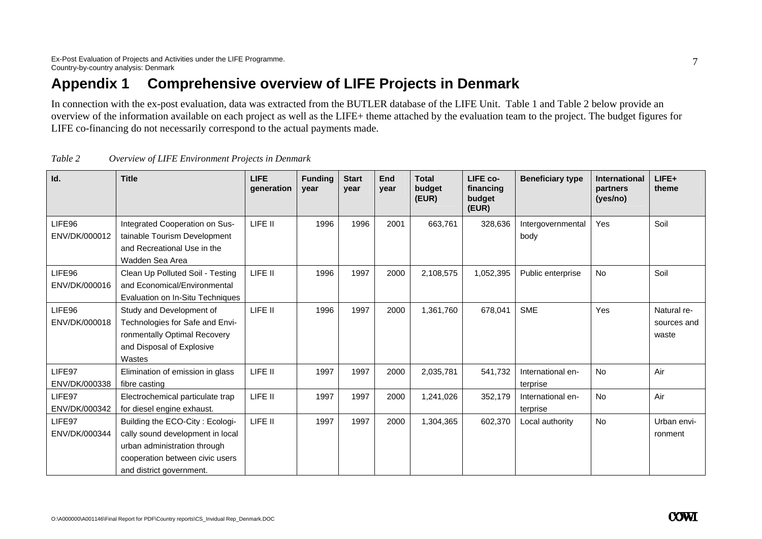# **Appendix 1 Comprehensive overview of LIFE Projects in Denmark**

In connection with the ex-post evaluation, data was extracted from the BUTLER database of the LIFE Unit. Table 1 and Table 2 below provide an overview of the information available on each project as well as the LIFE+ theme attached by the evaluation team to the project. The budget figures for LIFE co-financing do not necessarily correspond to the actual payments made.

| Id.                     | <b>Title</b>                                                                                                                                                       | <b>LIFE</b><br>qeneration | <b>Funding</b><br>year | <b>Start</b><br>year | End<br>year | <b>Total</b><br>budget<br>(EUR) | LIFE co-<br>financing<br>budget<br>(EUR) | <b>Beneficiary type</b>       | <b>International</b><br>partners<br>(yes/no) | LIFE+<br>theme                      |
|-------------------------|--------------------------------------------------------------------------------------------------------------------------------------------------------------------|---------------------------|------------------------|----------------------|-------------|---------------------------------|------------------------------------------|-------------------------------|----------------------------------------------|-------------------------------------|
| LIFE96<br>ENV/DK/000012 | Integrated Cooperation on Sus-<br>tainable Tourism Development<br>and Recreational Use in the<br>Wadden Sea Area                                                   | LIFE II                   | 1996                   | 1996                 | 2001        | 663,761                         | 328,636                                  | Intergovernmental<br>body     | Yes                                          | Soil                                |
| LIFE96<br>ENV/DK/000016 | Clean Up Polluted Soil - Testing<br>and Economical/Environmental<br>Evaluation on In-Situ Techniques                                                               | LIFE II                   | 1996                   | 1997                 | 2000        | 2,108,575                       | 1,052,395                                | Public enterprise             | No                                           | Soil                                |
| LIFE96<br>ENV/DK/000018 | Study and Development of<br>Technologies for Safe and Envi-<br>ronmentally Optimal Recovery<br>and Disposal of Explosive<br>Wastes                                 | LIFE II                   | 1996                   | 1997                 | 2000        | 1,361,760                       | 678,041                                  | <b>SME</b>                    | Yes                                          | Natural re-<br>sources and<br>waste |
| LIFE97<br>ENV/DK/000338 | Elimination of emission in glass<br>fibre casting                                                                                                                  | LIFE II                   | 1997                   | 1997                 | 2000        | 2,035,781                       | 541,732                                  | International en-<br>terprise | No                                           | Air                                 |
| LIFE97<br>ENV/DK/000342 | Electrochemical particulate trap<br>for diesel engine exhaust.                                                                                                     | LIFE II                   | 1997                   | 1997                 | 2000        | 1,241,026                       | 352,179                                  | International en-<br>terprise | <b>No</b>                                    | Air                                 |
| LIFE97<br>ENV/DK/000344 | Building the ECO-City: Ecologi-<br>cally sound development in local<br>urban administration through<br>cooperation between civic users<br>and district government. | LIFE II                   | 1997                   | 1997                 | 2000        | 1,304,365                       | 602,370                                  | Local authority               | <b>No</b>                                    | Urban envi-<br>ronment              |

| Table 2 | Overview of LIFE Environment Projects in Denmark |  |
|---------|--------------------------------------------------|--|
|         |                                                  |  |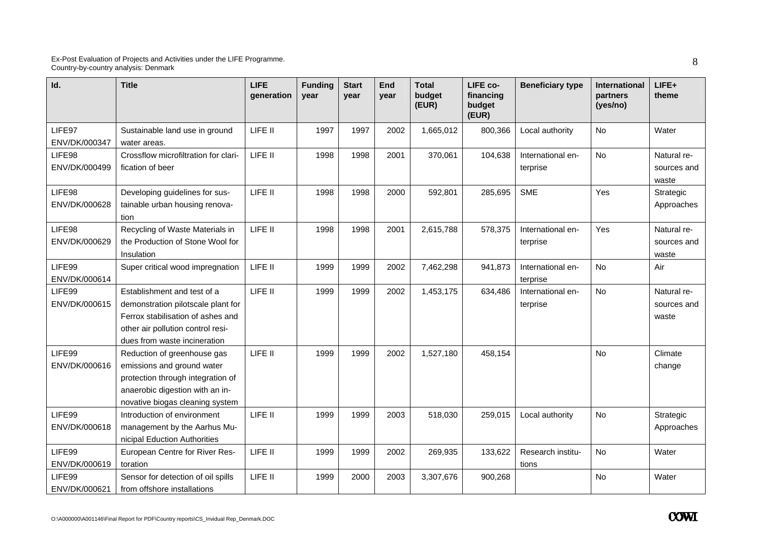| Id.                     | <b>Title</b>                                                                                                                                                                | <b>LIFE</b><br>qeneration | <b>Funding</b><br>year | <b>Start</b><br>year | <b>End</b><br>year | <b>Total</b><br>budget<br>(EUR) | LIFE co-<br>financing<br>budget<br>(EUR) | <b>Beneficiary type</b>       | International<br>partners<br>(yes/no) | LIFE+<br>theme                      |
|-------------------------|-----------------------------------------------------------------------------------------------------------------------------------------------------------------------------|---------------------------|------------------------|----------------------|--------------------|---------------------------------|------------------------------------------|-------------------------------|---------------------------------------|-------------------------------------|
| LIFE97<br>ENV/DK/000347 | Sustainable land use in ground<br>water areas.                                                                                                                              | LIFE II                   | 1997                   | 1997                 | 2002               | 1,665,012                       | 800,366                                  | Local authority               | <b>No</b>                             | Water                               |
| LIFE98<br>ENV/DK/000499 | Crossflow microfiltration for clari-<br>fication of beer                                                                                                                    | LIFE II                   | 1998                   | 1998                 | 2001               | 370,061                         | 104,638                                  | International en-<br>terprise | No                                    | Natural re-<br>sources and<br>waste |
| LIFE98<br>ENV/DK/000628 | Developing guidelines for sus-<br>tainable urban housing renova-<br>tion                                                                                                    | LIFE II                   | 1998                   | 1998                 | 2000               | 592,801                         | 285,695                                  | <b>SME</b>                    | Yes                                   | Strategic<br>Approaches             |
| LIFE98<br>ENV/DK/000629 | Recycling of Waste Materials in<br>the Production of Stone Wool for<br>Insulation                                                                                           | LIFE II                   | 1998                   | 1998                 | 2001               | 2,615,788                       | 578,375                                  | International en-<br>terprise | Yes                                   | Natural re-<br>sources and<br>waste |
| LIFE99<br>ENV/DK/000614 | Super critical wood impregnation                                                                                                                                            | LIFE II                   | 1999                   | 1999                 | 2002               | 7,462,298                       | 941,873                                  | International en-<br>terprise | No                                    | Air                                 |
| LIFE99<br>ENV/DK/000615 | Establishment and test of a<br>demonstration pilotscale plant for<br>Ferrox stabilisation of ashes and<br>other air pollution control resi-<br>dues from waste incineration | LIFE II                   | 1999                   | 1999                 | 2002               | 1,453,175                       | 634,486                                  | International en-<br>terprise | No                                    | Natural re-<br>sources and<br>waste |
| LIFE99<br>ENV/DK/000616 | Reduction of greenhouse gas<br>emissions and ground water<br>protection through integration of<br>anaerobic digestion with an in-<br>novative biogas cleaning system        | LIFE II                   | 1999                   | 1999                 | 2002               | 1,527,180                       | 458,154                                  |                               | <b>No</b>                             | Climate<br>change                   |
| LIFE99<br>ENV/DK/000618 | Introduction of environment<br>management by the Aarhus Mu-<br>nicipal Eduction Authorities                                                                                 | LIFE II                   | 1999                   | 1999                 | 2003               | 518,030                         | 259,015                                  | Local authority               | No                                    | Strategic<br>Approaches             |
| LIFE99<br>ENV/DK/000619 | European Centre for River Res-<br>toration                                                                                                                                  | LIFE II                   | 1999                   | 1999                 | 2002               | 269,935                         | 133,622                                  | Research institu-<br>tions    | <b>No</b>                             | Water                               |
| LIFE99<br>ENV/DK/000621 | Sensor for detection of oil spills<br>from offshore installations                                                                                                           | LIFE II                   | 1999                   | 2000                 | 2003               | 3,307,676                       | 900,268                                  |                               | No                                    | Water                               |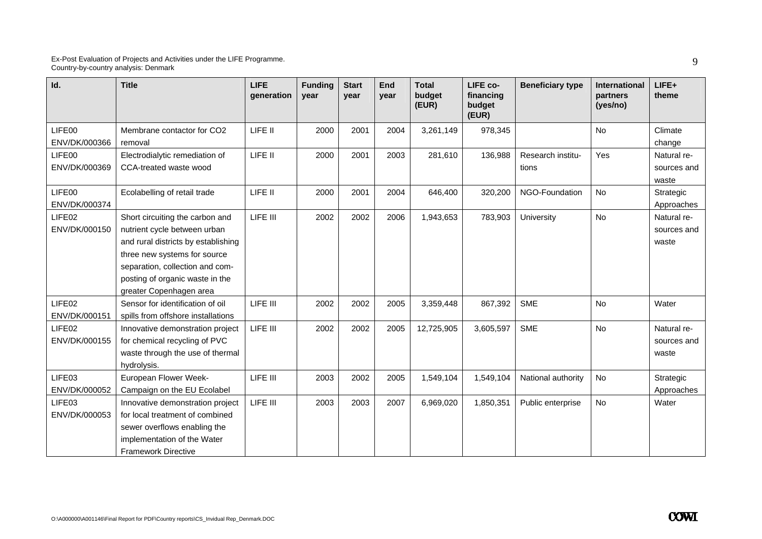| Id.                                 | <b>Title</b>                                                                                                                                                                                                                            | <b>LIFE</b><br>generation | <b>Funding</b><br>year | <b>Start</b><br>year | End<br>year | <b>Total</b><br>budget<br>(EUR) | LIFE co-<br>financing<br>budget<br>(EUR) | <b>Beneficiary type</b>    | International<br>partners<br>(yes/no) | $LIFE+$<br>theme                    |
|-------------------------------------|-----------------------------------------------------------------------------------------------------------------------------------------------------------------------------------------------------------------------------------------|---------------------------|------------------------|----------------------|-------------|---------------------------------|------------------------------------------|----------------------------|---------------------------------------|-------------------------------------|
| LIFE00<br>ENV/DK/000366             | Membrane contactor for CO2<br>removal                                                                                                                                                                                                   | LIFE II                   | 2000                   | 2001                 | 2004        | 3,261,149                       | 978,345                                  |                            | No                                    | Climate<br>change                   |
| LIFE00<br>ENV/DK/000369             | Electrodialytic remediation of<br>CCA-treated waste wood                                                                                                                                                                                | LIFE II                   | 2000                   | 2001                 | 2003        | 281,610                         | 136,988                                  | Research institu-<br>tions | Yes                                   | Natural re-<br>sources and<br>waste |
| LIFE00<br>ENV/DK/000374             | Ecolabelling of retail trade                                                                                                                                                                                                            | LIFE II                   | 2000                   | 2001                 | 2004        | 646,400                         | 320,200                                  | NGO-Foundation             | <b>No</b>                             | Strategic<br>Approaches             |
| LIFE <sub>02</sub><br>ENV/DK/000150 | Short circuiting the carbon and<br>nutrient cycle between urban<br>and rural districts by establishing<br>three new systems for source<br>separation, collection and com-<br>posting of organic waste in the<br>greater Copenhagen area | LIFE III                  | 2002                   | 2002                 | 2006        | 1,943,653                       | 783,903                                  | University                 | <b>No</b>                             | Natural re-<br>sources and<br>waste |
| LIFE02<br>ENV/DK/000151             | Sensor for identification of oil<br>spills from offshore installations                                                                                                                                                                  | LIFE III                  | 2002                   | 2002                 | 2005        | 3,359,448                       | 867,392                                  | <b>SME</b>                 | <b>No</b>                             | Water                               |
| LIFE <sub>02</sub><br>ENV/DK/000155 | Innovative demonstration project<br>for chemical recycling of PVC<br>waste through the use of thermal<br>hydrolysis.                                                                                                                    | LIFE III                  | 2002                   | 2002                 | 2005        | 12,725,905                      | 3,605,597                                | <b>SME</b>                 | <b>No</b>                             | Natural re-<br>sources and<br>waste |
| LIFE03<br>ENV/DK/000052             | European Flower Week-<br>Campaign on the EU Ecolabel                                                                                                                                                                                    | LIFE III                  | 2003                   | 2002                 | 2005        | 1,549,104                       | 1,549,104                                | National authority         | No                                    | Strategic<br>Approaches             |
| LIFE03<br>ENV/DK/000053             | Innovative demonstration project<br>for local treatment of combined<br>sewer overflows enabling the<br>implementation of the Water<br><b>Framework Directive</b>                                                                        | LIFE III                  | 2003                   | 2003                 | 2007        | 6,969,020                       | 1,850,351                                | Public enterprise          | <b>No</b>                             | Water                               |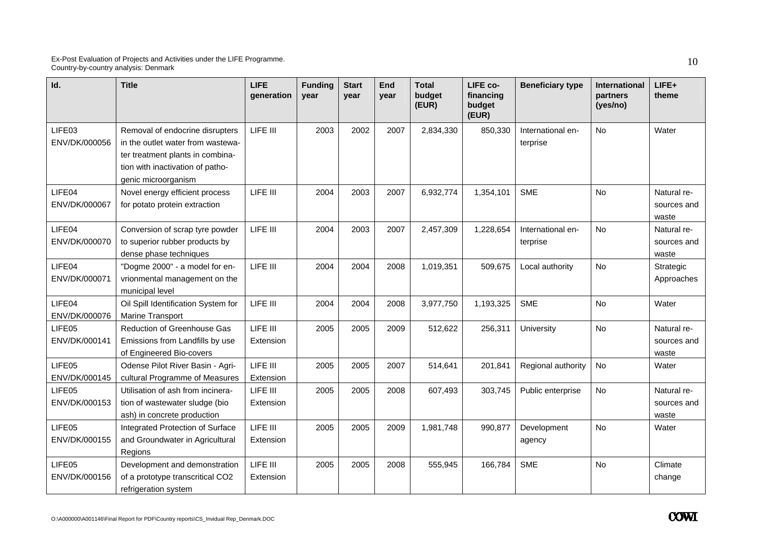| Id.                     | <b>Title</b>                                                                                                                                                        | <b>LIFE</b><br>qeneration | <b>Funding</b><br>year | <b>Start</b><br>year | <b>End</b><br>year | <b>Total</b><br>budget<br>(EUR) | LIFE co-<br>financing<br>budget<br>(EUR) | <b>Beneficiary type</b>       | International<br>partners<br>(yes/no) | LIFE+<br>theme                      |
|-------------------------|---------------------------------------------------------------------------------------------------------------------------------------------------------------------|---------------------------|------------------------|----------------------|--------------------|---------------------------------|------------------------------------------|-------------------------------|---------------------------------------|-------------------------------------|
| LIFE03<br>ENV/DK/000056 | Removal of endocrine disrupters<br>in the outlet water from wastewa-<br>ter treatment plants in combina-<br>tion with inactivation of patho-<br>genic microorganism | LIFE III                  | 2003                   | 2002                 | 2007               | 2,834,330                       | 850,330                                  | International en-<br>terprise | <b>No</b>                             | Water                               |
| LIFE04<br>ENV/DK/000067 | Novel energy efficient process<br>for potato protein extraction                                                                                                     | LIFE III                  | 2004                   | 2003                 | 2007               | 6,932,774                       | 1,354,101                                | <b>SME</b>                    | No                                    | Natural re-<br>sources and<br>waste |
| LIFE04<br>ENV/DK/000070 | Conversion of scrap tyre powder<br>to superior rubber products by<br>dense phase techniques                                                                         | LIFE III                  | 2004                   | 2003                 | 2007               | 2,457,309                       | 1,228,654                                | International en-<br>terprise | <b>No</b>                             | Natural re-<br>sources and<br>waste |
| LIFE04<br>ENV/DK/000071 | "Dogme 2000" - a model for en-<br>vrionmental management on the<br>municipal level                                                                                  | LIFE III                  | 2004                   | 2004                 | 2008               | 1,019,351                       | 509,675                                  | Local authority               | No.                                   | Strategic<br>Approaches             |
| LIFE04<br>ENV/DK/000076 | Oil Spill Identification System for<br>Marine Transport                                                                                                             | LIFE III                  | 2004                   | 2004                 | 2008               | 3,977,750                       | 1,193,325                                | <b>SME</b>                    | No                                    | Water                               |
| LIFE05<br>ENV/DK/000141 | Reduction of Greenhouse Gas<br>Emissions from Landfills by use<br>of Engineered Bio-covers                                                                          | LIFE III<br>Extension     | 2005                   | 2005                 | 2009               | 512,622                         | 256,311                                  | University                    | <b>No</b>                             | Natural re-<br>sources and<br>waste |
| LIFE05<br>ENV/DK/000145 | Odense Pilot River Basin - Agri-<br>cultural Programme of Measures                                                                                                  | LIFE III<br>Extension     | 2005                   | 2005                 | 2007               | 514,641                         | 201,841                                  | Regional authority            | No                                    | Water                               |
| LIFE05<br>ENV/DK/000153 | Utilisation of ash from incinera-<br>tion of wastewater sludge (bio<br>ash) in concrete production                                                                  | LIFE III<br>Extension     | 2005                   | 2005                 | 2008               | 607,493                         | 303,745                                  | Public enterprise             | <b>No</b>                             | Natural re-<br>sources and<br>waste |
| LIFE05<br>ENV/DK/000155 | Integrated Protection of Surface<br>and Groundwater in Agricultural<br>Regions                                                                                      | LIFE III<br>Extension     | 2005                   | 2005                 | 2009               | 1,981,748                       | 990,877                                  | Development<br>agency         | <b>No</b>                             | Water                               |
| LIFE05<br>ENV/DK/000156 | Development and demonstration<br>of a prototype transcritical CO2<br>refrigeration system                                                                           | LIFE III<br>Extension     | 2005                   | 2005                 | 2008               | 555,945                         | 166,784                                  | <b>SME</b>                    | No                                    | Climate<br>change                   |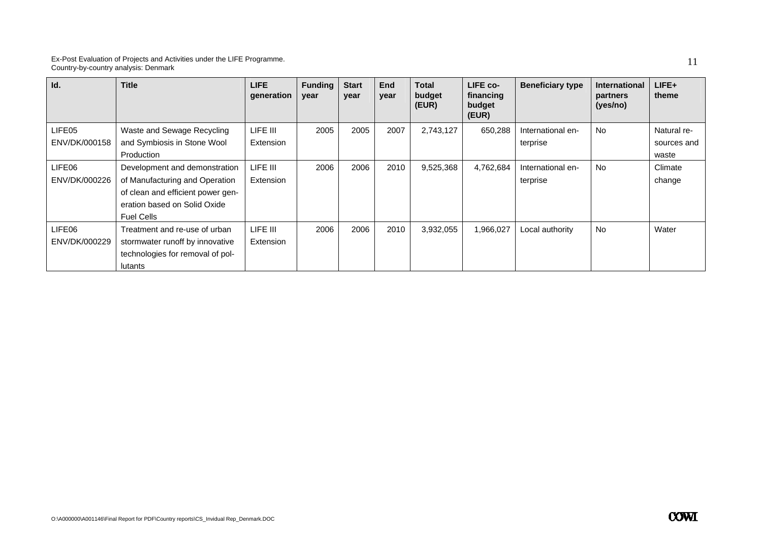| Id.           | <b>Title</b>                      | LIFE<br>generation | <b>Funding</b><br>year | <b>Start</b><br>year | End<br>year | <b>Total</b><br>budget<br>(EUR) | LIFE co-<br>financing<br>budget<br>(EUR) | <b>Beneficiary type</b> | <b>International</b><br>partners<br>(yes/no) | LIFE+<br>theme |
|---------------|-----------------------------------|--------------------|------------------------|----------------------|-------------|---------------------------------|------------------------------------------|-------------------------|----------------------------------------------|----------------|
| LIFE05        | Waste and Sewage Recycling        | LIFE III           | 2005                   | 2005                 | 2007        | 2,743,127                       | 650,288                                  | International en-       | <b>No</b>                                    | Natural re-    |
| ENV/DK/000158 | and Symbiosis in Stone Wool       | Extension          |                        |                      |             |                                 |                                          | terprise                |                                              | sources and    |
|               | Production                        |                    |                        |                      |             |                                 |                                          |                         |                                              | waste          |
| LIFE06        | Development and demonstration     | LIFE III           | 2006                   | 2006                 | 2010        | 9,525,368                       | 4,762,684                                | International en-       | No                                           | Climate        |
| ENV/DK/000226 | of Manufacturing and Operation    | Extension          |                        |                      |             |                                 |                                          | terprise                |                                              | change         |
|               | of clean and efficient power gen- |                    |                        |                      |             |                                 |                                          |                         |                                              |                |
|               | eration based on Solid Oxide      |                    |                        |                      |             |                                 |                                          |                         |                                              |                |
|               | <b>Fuel Cells</b>                 |                    |                        |                      |             |                                 |                                          |                         |                                              |                |
| LIFE06        | Treatment and re-use of urban     | LIFE III           | 2006                   | 2006                 | 2010        | 3,932,055                       | 1,966,027                                | Local authority         | <b>No</b>                                    | Water          |
| ENV/DK/000229 | stormwater runoff by innovative   | Extension          |                        |                      |             |                                 |                                          |                         |                                              |                |
|               | technologies for removal of pol-  |                    |                        |                      |             |                                 |                                          |                         |                                              |                |
|               | lutants                           |                    |                        |                      |             |                                 |                                          |                         |                                              |                |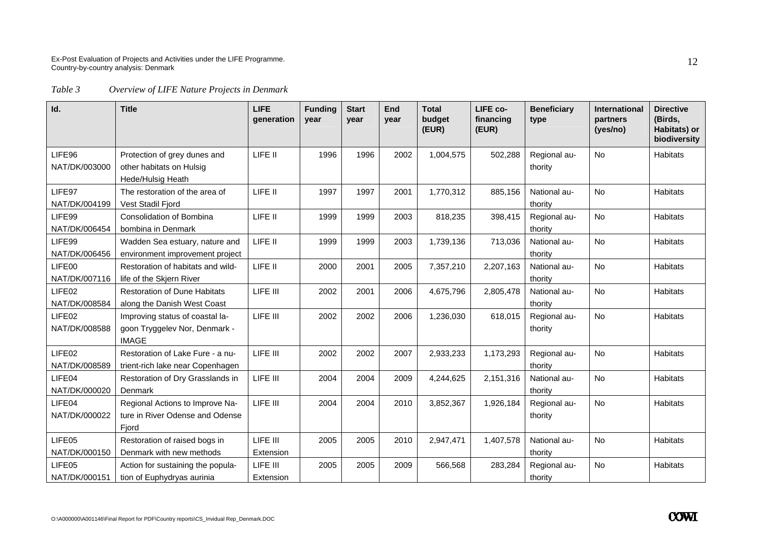*Table 3 Overview of LIFE Nature Projects in Denmark* 

| Id.                     | <b>Title</b>                                                                     | <b>LIFE</b><br>generation | <b>Funding</b><br>year | <b>Start</b><br>year | End<br>year | <b>Total</b><br>budget<br>(EUR) | LIFE co-<br>financing<br>(EUR) | <b>Beneficiary</b><br>type | <b>International</b><br>partners<br>(yes/no) | <b>Directive</b><br>(Birds,<br>Habitats) or<br>biodiversity |
|-------------------------|----------------------------------------------------------------------------------|---------------------------|------------------------|----------------------|-------------|---------------------------------|--------------------------------|----------------------------|----------------------------------------------|-------------------------------------------------------------|
| LIFE96<br>NAT/DK/003000 | Protection of grey dunes and<br>other habitats on Hulsig<br>Hede/Hulsig Heath    | LIFE II                   | 1996                   | 1996                 | 2002        | 1,004,575                       | 502,288                        | Regional au-<br>thority    | <b>No</b>                                    | <b>Habitats</b>                                             |
| LIFE97<br>NAT/DK/004199 | The restoration of the area of<br>Vest Stadil Fjord                              | LIFE II                   | 1997                   | 1997                 | 2001        | 1,770,312                       | 885,156                        | National au-<br>thority    | No                                           | Habitats                                                    |
| LIFE99<br>NAT/DK/006454 | Consolidation of Bombina<br>bombina in Denmark                                   | LIFE II                   | 1999                   | 1999                 | 2003        | 818,235                         | 398,415                        | Regional au-<br>thority    | <b>No</b>                                    | Habitats                                                    |
| LIFE99<br>NAT/DK/006456 | Wadden Sea estuary, nature and<br>environment improvement project                | LIFE II                   | 1999                   | 1999                 | 2003        | 1,739,136                       | 713,036                        | National au-<br>thority    | No                                           | <b>Habitats</b>                                             |
| LIFE00<br>NAT/DK/007116 | Restoration of habitats and wild-<br>life of the Skjern River                    | LIFE II                   | 2000                   | 2001                 | 2005        | 7,357,210                       | 2,207,163                      | National au-<br>thority    | <b>No</b>                                    | <b>Habitats</b>                                             |
| LIFE02<br>NAT/DK/008584 | <b>Restoration of Dune Habitats</b><br>along the Danish West Coast               | LIFE III                  | 2002                   | 2001                 | 2006        | 4,675,796                       | 2,805,478                      | National au-<br>thority    | No                                           | <b>Habitats</b>                                             |
| LIFE02<br>NAT/DK/008588 | Improving status of coastal la-<br>goon Tryggelev Nor, Denmark -<br><b>IMAGE</b> | LIFE III                  | 2002                   | 2002                 | 2006        | 1,236,030                       | 618,015                        | Regional au-<br>thority    | <b>No</b>                                    | Habitats                                                    |
| LIFE02<br>NAT/DK/008589 | Restoration of Lake Fure - a nu-<br>trient-rich lake near Copenhagen             | LIFE III                  | 2002                   | 2002                 | 2007        | 2,933,233                       | 1,173,293                      | Regional au-<br>thority    | <b>No</b>                                    | <b>Habitats</b>                                             |
| LIFE04<br>NAT/DK/000020 | Restoration of Dry Grasslands in<br>Denmark                                      | LIFE III                  | 2004                   | 2004                 | 2009        | 4,244,625                       | 2,151,316                      | National au-<br>thority    | <b>No</b>                                    | <b>Habitats</b>                                             |
| LIFE04<br>NAT/DK/000022 | Regional Actions to Improve Na-<br>ture in River Odense and Odense<br>Fjord      | LIFE III                  | 2004                   | 2004                 | 2010        | 3,852,367                       | 1,926,184                      | Regional au-<br>thority    | <b>No</b>                                    | Habitats                                                    |
| LIFE05<br>NAT/DK/000150 | Restoration of raised bogs in<br>Denmark with new methods                        | LIFE III<br>Extension     | 2005                   | 2005                 | 2010        | 2,947,471                       | 1,407,578                      | National au-<br>thority    | <b>No</b>                                    | <b>Habitats</b>                                             |
| LIFE05<br>NAT/DK/000151 | Action for sustaining the popula-<br>tion of Euphydryas aurinia                  | LIFE III<br>Extension     | 2005                   | 2005                 | 2009        | 566,568                         | 283,284                        | Regional au-<br>thority    | No                                           | Habitats                                                    |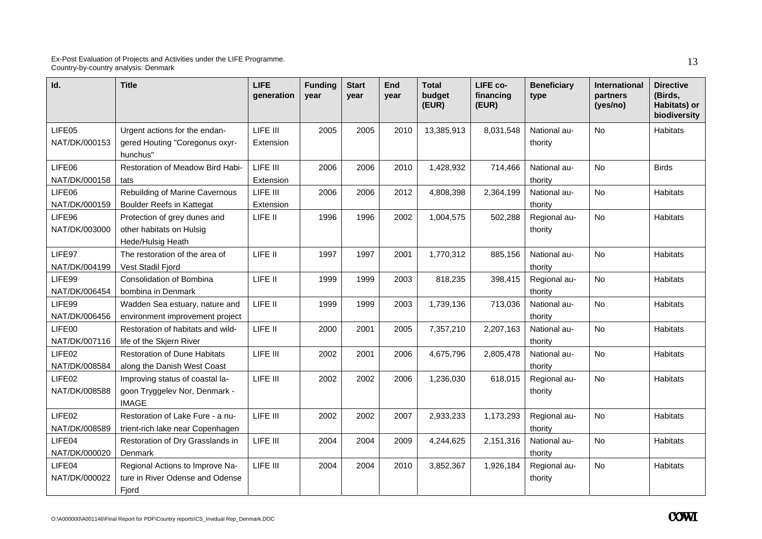| Id.                     | <b>Title</b>                                                                     | <b>LIFE</b><br>generation | <b>Funding</b><br>year | <b>Start</b><br>vear | <b>End</b><br>vear | <b>Total</b><br>budget<br>(EUR) | LIFE co-<br>financing<br>(EUR) | <b>Beneficiary</b><br>type | International<br>partners<br>(yes/no) | <b>Directive</b><br>(Birds,<br>Habitats) or<br>biodiversity |
|-------------------------|----------------------------------------------------------------------------------|---------------------------|------------------------|----------------------|--------------------|---------------------------------|--------------------------------|----------------------------|---------------------------------------|-------------------------------------------------------------|
| LIFE05<br>NAT/DK/000153 | Urgent actions for the endan-<br>gered Houting "Coregonus oxyr-<br>hunchus"      | LIFE III<br>Extension     | 2005                   | 2005                 | 2010               | 13,385,913                      | 8,031,548                      | National au-<br>thority    | No                                    | <b>Habitats</b>                                             |
| LIFE06<br>NAT/DK/000158 | Restoration of Meadow Bird Habi-<br>tats                                         | LIFE III<br>Extension     | 2006                   | 2006                 | 2010               | 1,428,932                       | 714,466                        | National au-<br>thority    | No                                    | <b>Birds</b>                                                |
| LIFE06<br>NAT/DK/000159 | Rebuilding of Marine Cavernous<br><b>Boulder Reefs in Kattegat</b>               | LIFE III<br>Extension     | 2006                   | 2006                 | 2012               | 4,808,398                       | 2,364,199                      | National au-<br>thority    | No                                    | <b>Habitats</b>                                             |
| LIFE96<br>NAT/DK/003000 | Protection of grey dunes and<br>other habitats on Hulsig<br>Hede/Hulsig Heath    | LIFE II                   | 1996                   | 1996                 | 2002               | 1,004,575                       | 502,288                        | Regional au-<br>thority    | <b>No</b>                             | <b>Habitats</b>                                             |
| LIFE97<br>NAT/DK/004199 | The restoration of the area of<br>Vest Stadil Fjord                              | LIFE II                   | 1997                   | 1997                 | 2001               | 1,770,312                       | 885,156                        | National au-<br>thority    | <b>No</b>                             | <b>Habitats</b>                                             |
| LIFE99<br>NAT/DK/006454 | Consolidation of Bombina<br>bombina in Denmark                                   | LIFE II                   | 1999                   | 1999                 | 2003               | 818,235                         | 398,415                        | Regional au-<br>thority    | No                                    | Habitats                                                    |
| LIFE99<br>NAT/DK/006456 | Wadden Sea estuary, nature and<br>environment improvement project                | LIFE II                   | 1999                   | 1999                 | 2003               | 1,739,136                       | 713,036                        | National au-<br>thority    | <b>No</b>                             | <b>Habitats</b>                                             |
| LIFE00<br>NAT/DK/007116 | Restoration of habitats and wild-<br>life of the Skjern River                    | LIFE II                   | 2000                   | 2001                 | 2005               | 7,357,210                       | 2,207,163                      | National au-<br>thority    | No                                    | Habitats                                                    |
| LIFE02<br>NAT/DK/008584 | <b>Restoration of Dune Habitats</b><br>along the Danish West Coast               | LIFE III                  | 2002                   | 2001                 | 2006               | 4,675,796                       | 2,805,478                      | National au-<br>thority    | No                                    | <b>Habitats</b>                                             |
| LIFE02<br>NAT/DK/008588 | Improving status of coastal la-<br>goon Tryggelev Nor, Denmark -<br><b>IMAGE</b> | LIFE III                  | 2002                   | 2002                 | 2006               | 1,236,030                       | 618,015                        | Regional au-<br>thority    | <b>No</b>                             | <b>Habitats</b>                                             |
| LIFE02<br>NAT/DK/008589 | Restoration of Lake Fure - a nu-<br>trient-rich lake near Copenhagen             | LIFE III                  | 2002                   | 2002                 | 2007               | 2,933,233                       | 1,173,293                      | Regional au-<br>thority    | No                                    | <b>Habitats</b>                                             |
| LIFE04<br>NAT/DK/000020 | Restoration of Dry Grasslands in<br>Denmark                                      | LIFE III                  | 2004                   | 2004                 | 2009               | 4,244,625                       | 2,151,316                      | National au-<br>thority    | No                                    | <b>Habitats</b>                                             |
| LIFE04<br>NAT/DK/000022 | Regional Actions to Improve Na-<br>ture in River Odense and Odense<br>Fjord      | LIFE III                  | 2004                   | 2004                 | 2010               | 3,852,367                       | 1,926,184                      | Regional au-<br>thority    | No                                    | <b>Habitats</b>                                             |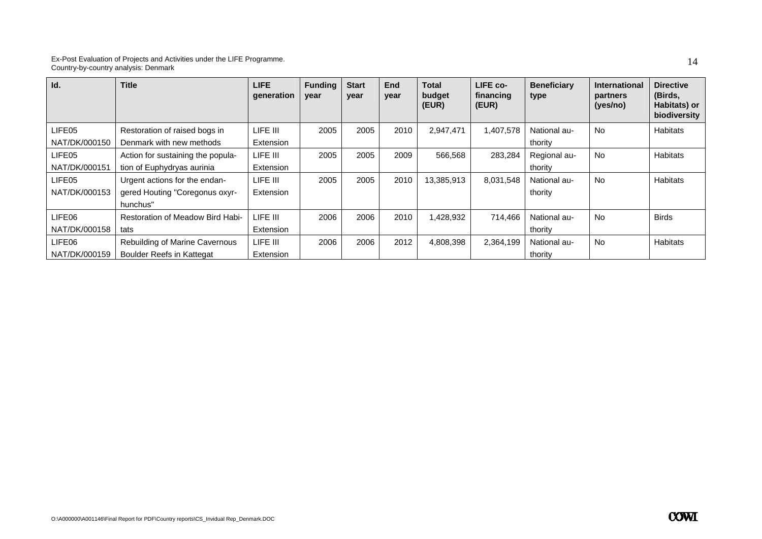| Id.           | <b>Title</b>                            | <b>LIFE</b><br>qeneration | <b>Funding</b><br>year | <b>Start</b><br>vear | End<br>year | <b>Total</b><br>budget<br>(EUR) | LIFE co-<br>financing<br>(EUR) | <b>Beneficiary</b><br>type | <b>International</b><br>partners<br>(yes/no) | <b>Directive</b><br>(Birds,<br><b>Habitats) or</b><br>biodiversity |
|---------------|-----------------------------------------|---------------------------|------------------------|----------------------|-------------|---------------------------------|--------------------------------|----------------------------|----------------------------------------------|--------------------------------------------------------------------|
| LIFE05        | Restoration of raised bogs in           | LIFE III                  | 2005                   | 2005                 | 2010        | 2,947,471                       | 1,407,578                      | National au-               | No                                           | <b>Habitats</b>                                                    |
| NAT/DK/000150 | Denmark with new methods                | Extension                 |                        |                      |             |                                 |                                | thority                    |                                              |                                                                    |
| LIFE05        | Action for sustaining the popula-       | LIFE III                  | 2005                   | 2005                 | 2009        | 566,568                         | 283,284                        | Regional au-               | <b>No</b>                                    | <b>Habitats</b>                                                    |
| NAT/DK/000151 | tion of Euphydryas aurinia              | Extension                 |                        |                      |             |                                 |                                | thority                    |                                              |                                                                    |
| LIFE05        | Urgent actions for the endan-           | LIFE III                  | 2005                   | 2005                 | 2010        | 13,385,913                      | 8,031,548                      | National au-               | <b>No</b>                                    | <b>Habitats</b>                                                    |
| NAT/DK/000153 | gered Houting "Coregonus oxyr-          | Extension                 |                        |                      |             |                                 |                                | thority                    |                                              |                                                                    |
|               | hunchus"                                |                           |                        |                      |             |                                 |                                |                            |                                              |                                                                    |
| LIFE06        | <b>Restoration of Meadow Bird Habi-</b> | LIFE III                  | 2006                   | 2006                 | 2010        | 1,428,932                       | 714,466                        | National au-               | <b>No</b>                                    | <b>Birds</b>                                                       |
| NAT/DK/000158 | tats                                    | Extension                 |                        |                      |             |                                 |                                | thority                    |                                              |                                                                    |
| LIFE06        | Rebuilding of Marine Cavernous          | LIFE III                  | 2006                   | 2006                 | 2012        | 4,808,398                       | 2,364,199                      | National au-               | No.                                          | <b>Habitats</b>                                                    |
| NAT/DK/000159 | <b>Boulder Reefs in Kattegat</b>        | Extension                 |                        |                      |             |                                 |                                | thority                    |                                              |                                                                    |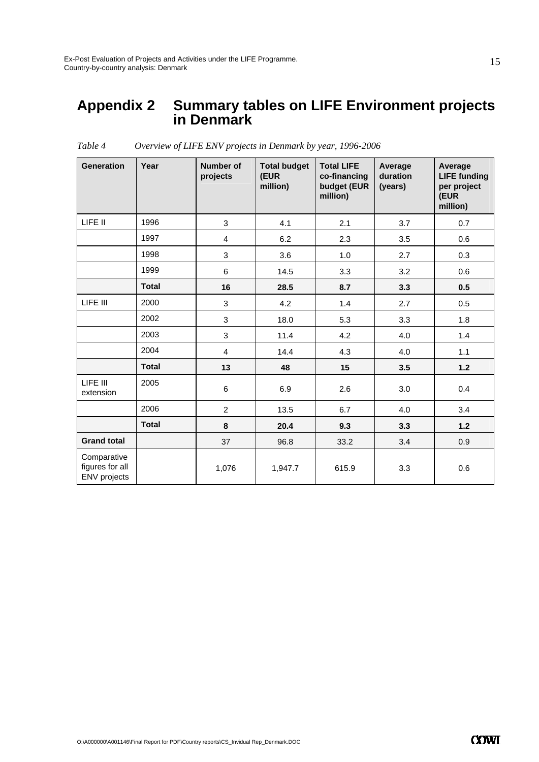### **Appendix 2 Summary tables on LIFE Environment projects in Denmark**

| <b>Generation</b>                              | Year         | <b>Number of</b><br>projects | <b>Total budget</b><br>(EUR<br>million) | <b>Total LIFE</b><br>co-financing<br>budget (EUR<br>million) | Average<br>duration<br>(years) | Average<br><b>LIFE funding</b><br>per project<br>(EUR<br>million) |
|------------------------------------------------|--------------|------------------------------|-----------------------------------------|--------------------------------------------------------------|--------------------------------|-------------------------------------------------------------------|
| LIFE II                                        | 1996         | 3                            | 4.1                                     | 2.1                                                          | 3.7                            | 0.7                                                               |
|                                                | 1997         | 4                            | 6.2                                     | 2.3                                                          | 3.5                            | 0.6                                                               |
|                                                | 1998         | 3                            | 3.6                                     | 1.0                                                          | 2.7                            | 0.3                                                               |
|                                                | 1999         | 6                            | 14.5                                    | 3.3                                                          | 3.2                            | 0.6                                                               |
|                                                | <b>Total</b> | 16                           | 28.5                                    | 8.7                                                          | 3.3                            | 0.5                                                               |
| LIFE III                                       | 2000         | 3                            | 4.2                                     | 1.4                                                          | 2.7                            | 0.5                                                               |
|                                                | 2002         | 3                            | 18.0                                    | 5.3                                                          | 3.3                            | 1.8                                                               |
|                                                | 2003         | 3                            | 11.4                                    | 4.2                                                          | 4.0                            | 1.4                                                               |
|                                                | 2004         | 4                            | 14.4                                    | 4.3                                                          | 4.0                            | 1.1                                                               |
|                                                | <b>Total</b> | 13                           | 48                                      | 15                                                           | 3.5                            | $1.2$                                                             |
| LIFE III<br>extension                          | 2005         | 6                            | 6.9                                     | 2.6                                                          | 3.0                            | 0.4                                                               |
|                                                | 2006         | $\overline{2}$               | 13.5                                    | 6.7                                                          | 4.0                            | 3.4                                                               |
|                                                | <b>Total</b> | 8                            | 20.4                                    | 9.3                                                          | 3.3                            | $1.2$                                                             |
| <b>Grand total</b>                             |              | 37                           | 96.8                                    | 33.2                                                         | 3.4                            | 0.9                                                               |
| Comparative<br>figures for all<br>ENV projects |              | 1,076                        | 1,947.7                                 | 615.9                                                        | 3.3                            | 0.6                                                               |

*Table 4 Overview of LIFE ENV projects in Denmark by year, 1996-2006*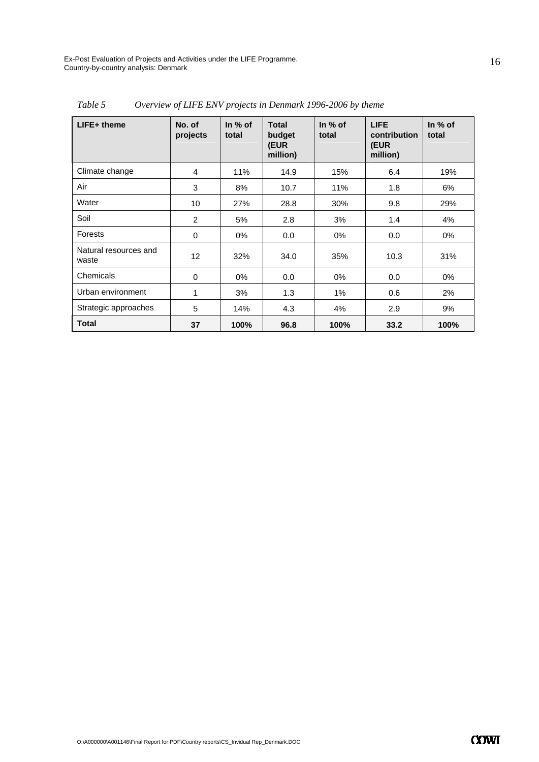| LIFE+ theme                    | No. of<br>projects | In $%$ of<br>total | <b>Total</b><br>budget<br>(EUR<br>million) | In $%$ of<br>total | <b>LIFE</b><br>contribution<br><b>(EUR</b><br>million) | In $%$ of<br>total |
|--------------------------------|--------------------|--------------------|--------------------------------------------|--------------------|--------------------------------------------------------|--------------------|
| Climate change                 | $\overline{4}$     | 11%                | 14.9                                       | 15%                | 6.4                                                    | 19%                |
| Air                            | 3                  | 8%                 | 10.7                                       | 11%                | 1.8                                                    | 6%                 |
| Water                          | 10                 | 27%                | 28.8                                       | 30%                | 9.8                                                    | 29%                |
| Soil                           | 2                  | 5%                 | 2.8                                        | 3%                 | 1.4                                                    | 4%                 |
| Forests                        | 0                  | $0\%$              | 0.0                                        | 0%                 | 0.0                                                    | 0%                 |
| Natural resources and<br>waste | 12                 | 32%                | 34.0                                       | 35%                | 10.3                                                   | 31%                |
| Chemicals                      | 0                  | $0\%$              | 0.0                                        | $0\%$              | 0.0                                                    | 0%                 |
| Urban environment              | 1                  | 3%                 | 1.3                                        | 1%                 | 0.6                                                    | 2%                 |
| Strategic approaches           | 5                  | 14%                | 4.3                                        | 4%                 | 2.9                                                    | 9%                 |
| <b>Total</b>                   | 37                 | 100%               | 96.8                                       | 100%               | 33.2                                                   | 100%               |

*Table 5 Overview of LIFE ENV projects in Denmark 1996-2006 by theme*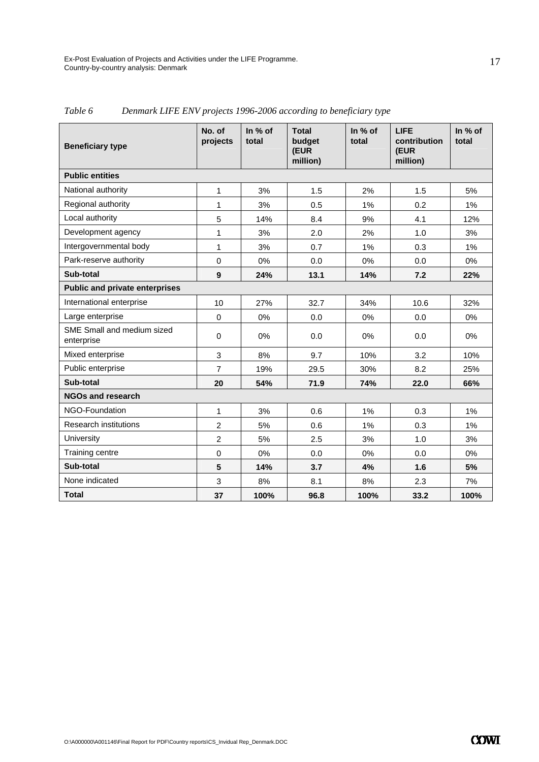| <b>Beneficiary type</b>                  | No. of<br>projects | In % of<br>total | <b>Total</b><br>budget<br>(EUR<br>million) | In % of<br>total | <b>LIFE</b><br>contribution<br>(EUR<br>million) | In % of<br>total |  |  |  |  |
|------------------------------------------|--------------------|------------------|--------------------------------------------|------------------|-------------------------------------------------|------------------|--|--|--|--|
| <b>Public entities</b>                   |                    |                  |                                            |                  |                                                 |                  |  |  |  |  |
| National authority                       | 1                  | 3%               | 1.5                                        | 2%               | 1.5                                             | 5%               |  |  |  |  |
| Regional authority                       | 1                  | 3%               | 0.5                                        | 1%               | 0.2                                             | 1%               |  |  |  |  |
| Local authority                          | 5                  | 14%              | 8.4                                        | 9%               | 4.1                                             | 12%              |  |  |  |  |
| Development agency                       | 1                  | 3%               | 2.0                                        | 2%               | 1.0                                             | 3%               |  |  |  |  |
| Intergovernmental body                   | 1                  | 3%               | 0.7                                        | 1%               | 0.3                                             | 1%               |  |  |  |  |
| Park-reserve authority                   | 0                  | 0%               | 0.0                                        | $0\%$            | 0.0                                             | $0\%$            |  |  |  |  |
| Sub-total                                | 9                  | 24%              | 13.1                                       | 14%              | 7.2                                             | 22%              |  |  |  |  |
| <b>Public and private enterprises</b>    |                    |                  |                                            |                  |                                                 |                  |  |  |  |  |
| International enterprise                 | 10                 | 27%              | 32.7                                       | 34%              | 10.6                                            | 32%              |  |  |  |  |
| Large enterprise                         | $\Omega$           | 0%               | 0.0                                        | 0%               | 0.0                                             | $0\%$            |  |  |  |  |
| SME Small and medium sized<br>enterprise | $\mathbf 0$        | 0%               | 0.0                                        | 0%               | 0.0                                             | $0\%$            |  |  |  |  |
| Mixed enterprise                         | 3                  | 8%               | 9.7                                        | 10%              | 3.2                                             | 10%              |  |  |  |  |
| Public enterprise                        | $\overline{7}$     | 19%              | 29.5                                       | 30%              | 8.2                                             | 25%              |  |  |  |  |
| Sub-total                                | 20                 | 54%              | 71.9                                       | 74%              | 22.0                                            | 66%              |  |  |  |  |
| <b>NGOs and research</b>                 |                    |                  |                                            |                  |                                                 |                  |  |  |  |  |
| NGO-Foundation                           | 1                  | 3%               | 0.6                                        | 1%               | 0.3                                             | 1%               |  |  |  |  |
| <b>Research institutions</b>             | $\overline{2}$     | 5%               | 0.6                                        | 1%               | 0.3                                             | 1%               |  |  |  |  |
| University                               | $\overline{2}$     | 5%               | 2.5                                        | 3%               | 1.0                                             | 3%               |  |  |  |  |
| Training centre                          | $\mathbf 0$        | 0%               | 0.0                                        | 0%               | 0.0                                             | $0\%$            |  |  |  |  |
| Sub-total                                | $5\phantom{1}$     | 14%              | 3.7                                        | 4%               | 1.6                                             | 5%               |  |  |  |  |
| None indicated                           | 3                  | 8%               | 8.1                                        | 8%               | 2.3                                             | 7%               |  |  |  |  |
| <b>Total</b>                             | 37                 | 100%             | 96.8                                       | 100%             | 33.2                                            | 100%             |  |  |  |  |

*Table 6 Denmark LIFE ENV projects 1996-2006 according to beneficiary type*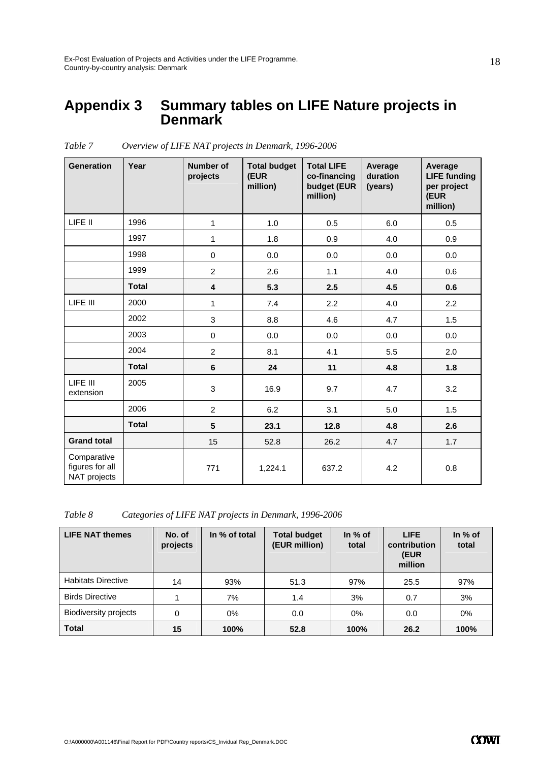### **Appendix 3 Summary tables on LIFE Nature projects in Denmark**

| <b>Generation</b>                              | Year         | <b>Number of</b><br>projects | <b>Total budget</b><br>(EUR<br>million) | <b>Total LIFE</b><br>co-financing<br>budget (EUR<br>million) | Average<br>duration<br>(years) | Average<br><b>LIFE funding</b><br>per project<br>(EUR<br>million) |
|------------------------------------------------|--------------|------------------------------|-----------------------------------------|--------------------------------------------------------------|--------------------------------|-------------------------------------------------------------------|
| LIFE II                                        | 1996         | $\mathbf{1}$                 | 1.0                                     | 0.5                                                          | 6.0                            | 0.5                                                               |
|                                                | 1997         | $\mathbf{1}$                 | 1.8                                     | 0.9                                                          | 4.0                            | 0.9                                                               |
|                                                | 1998         | $\pmb{0}$                    | 0.0                                     | 0.0                                                          | 0.0                            | 0.0                                                               |
|                                                | 1999         | $\overline{c}$               | 2.6                                     | 1.1                                                          | 4.0                            | 0.6                                                               |
|                                                | <b>Total</b> | 4                            | 5.3                                     | 2.5                                                          | 4.5                            | 0.6                                                               |
| LIFE III                                       | 2000         | $\mathbf{1}$                 | 7.4                                     | 2.2                                                          | 4.0                            | 2.2                                                               |
|                                                | 2002         | 3                            | 8.8                                     | 4.6                                                          | 4.7                            | 1.5                                                               |
|                                                | 2003         | $\mathbf 0$                  | 0.0                                     | 0.0                                                          | 0.0                            | 0.0                                                               |
|                                                | 2004         | $\overline{c}$               | 8.1                                     | 4.1                                                          | 5.5                            | 2.0                                                               |
|                                                | <b>Total</b> | $\bf 6$                      | 24                                      | 11                                                           | 4.8                            | 1.8                                                               |
| LIFE III<br>extension                          | 2005         | 3                            | 16.9                                    | 9.7                                                          | 4.7                            | 3.2                                                               |
|                                                | 2006         | $\overline{2}$               | 6.2                                     | 3.1                                                          | 5.0                            | 1.5                                                               |
|                                                | <b>Total</b> | $5\phantom{.0}$              | 23.1                                    | 12.8                                                         | 4.8                            | 2.6                                                               |
| <b>Grand total</b>                             |              | 15                           | 52.8                                    | 26.2                                                         | 4.7                            | 1.7                                                               |
| Comparative<br>figures for all<br>NAT projects |              | 771                          | 1,224.1                                 | 637.2                                                        | 4.2                            | 0.8                                                               |

*Table 7 Overview of LIFE NAT projects in Denmark, 1996-2006* 

*Table 8 Categories of LIFE NAT projects in Denmark, 1996-2006* 

| <b>LIFE NAT themes</b>       | No. of<br>projects | In % of total | <b>Total budget</b><br>(EUR million) | In $%$ of<br>total | <b>LIFE</b><br>contribution<br>(EUR<br>million | In $%$ of<br>total |
|------------------------------|--------------------|---------------|--------------------------------------|--------------------|------------------------------------------------|--------------------|
| <b>Habitats Directive</b>    | 14                 | 93%           | 51.3                                 | 97%                | 25.5                                           | 97%                |
| <b>Birds Directive</b>       |                    | 7%            | 1.4                                  | 3%                 | 0.7                                            | 3%                 |
| <b>Biodiversity projects</b> | 0                  | 0%            | 0.0                                  | $0\%$              | 0.0                                            | $0\%$              |
| <b>Total</b>                 | 15                 | 100%          | 52.8                                 | 100%               | 26.2                                           | 100%               |